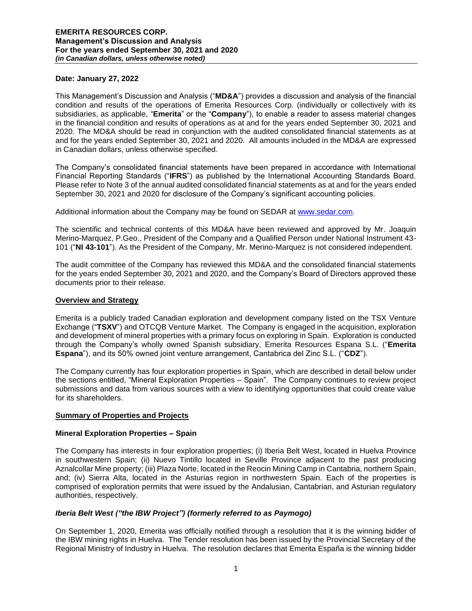### **Date: January 27, 2022**

This Management's Discussion and Analysis ("**MD&A**") provides a discussion and analysis of the financial condition and results of the operations of Emerita Resources Corp. (individually or collectively with its subsidiaries, as applicable, "**Emerita**" or the "**Company**"), to enable a reader to assess material changes in the financial condition and results of operations as at and for the years ended September 30, 2021 and 2020. The MD&A should be read in conjunction with the audited consolidated financial statements as at and for the years ended September 30, 2021 and 2020. All amounts included in the MD&A are expressed in Canadian dollars, unless otherwise specified.

The Company's consolidated financial statements have been prepared in accordance with International Financial Reporting Standards ("**IFRS**") as published by the International Accounting Standards Board. Please refer to Note 3 of the annual audited consolidated financial statements as at and for the years ended September 30, 2021 and 2020 for disclosure of the Company's significant accounting policies.

Additional information about the Company may be found on SEDAR at [www.sedar.com.](http://www.sedar.com/)

The scientific and technical contents of this MD&A have been reviewed and approved by Mr. Joaquin Merino-Marquez, P.Geo., President of the Company and a Qualified Person under National Instrument 43- 101 ("**NI 43-101**"). As the President of the Company, Mr. Merino-Marquez is not considered independent.

The audit committee of the Company has reviewed this MD&A and the consolidated financial statements for the years ended September 30, 2021 and 2020, and the Company's Board of Directors approved these documents prior to their release.

### **Overview and Strategy**

Emerita is a publicly traded Canadian exploration and development company listed on the TSX Venture Exchange ("**TSXV**") and OTCQB Venture Market. The Company is engaged in the acquisition, exploration and development of mineral properties with a primary focus on exploring in Spain. Exploration is conducted through the Company's wholly owned Spanish subsidiary, Emerita Resources Espana S.L. ("**Emerita Espana**"), and its 50% owned joint venture arrangement, Cantabrica del Zinc S.L. ("**CDZ**").

The Company currently has four exploration properties in Spain, which are described in detail below under the sections entitled, "Mineral Exploration Properties – Spain". The Company continues to review project submissions and data from various sources with a view to identifying opportunities that could create value for its shareholders.

# **Summary of Properties and Projects**

### **Mineral Exploration Properties – Spain**

The Company has interests in four exploration properties; (i) Iberia Belt West, located in Huelva Province in southwestern Spain; (ii) Nuevo Tintillo located in Seville Province adjacent to the past producing Aznalcollar Mine property; (iii) Plaza Norte, located in the Reocin Mining Camp in Cantabria, northern Spain, and; (iv) Sierra Alta, located in the Asturias region in northwestern Spain. Each of the properties is comprised of exploration permits that were issued by the Andalusian, Cantabrian, and Asturian regulatory authorities, respectively.

### *Iberia Belt West ("the IBW Project") (formerly referred to as Paymogo)*

On September 1, 2020, Emerita was officially notified through a resolution that it is the winning bidder of the IBW mining rights in Huelva. The Tender resolution has been issued by the Provincial Secretary of the Regional Ministry of Industry in Huelva. The resolution declares that Emerita España is the winning bidder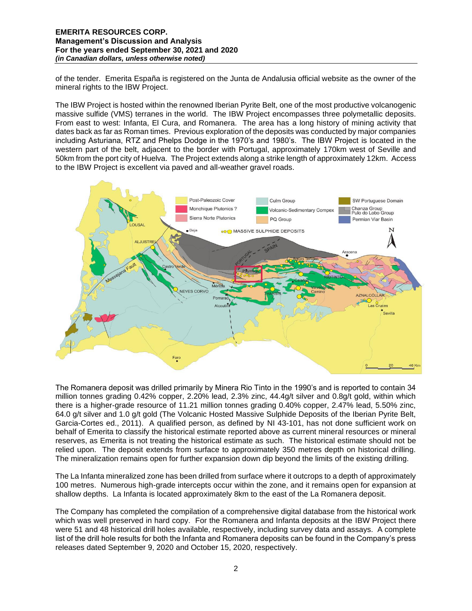of the tender. Emerita España is registered on the Junta de Andalusia official website as the owner of the mineral rights to the IBW Project.

The IBW Project is hosted within the renowned Iberian Pyrite Belt, one of the most productive volcanogenic massive sulfide (VMS) terranes in the world. The IBW Project encompasses three polymetallic deposits. From east to west: Infanta, El Cura, and Romanera. The area has a long history of mining activity that dates back as far as Roman times. Previous exploration of the deposits was conducted by major companies including Asturiana, RTZ and Phelps Dodge in the 1970's and 1980's. The IBW Project is located in the western part of the belt, adjacent to the border with Portugal, approximately 170km west of Seville and 50km from the port city of Huelva. The Project extends along a strike length of approximately 12km. Access to the IBW Project is excellent via paved and all-weather gravel roads.



The Romanera deposit was drilled primarily by Minera Rio Tinto in the 1990's and is reported to contain 34 million tonnes grading 0.42% copper, 2.20% lead, 2.3% zinc, 44.4g/t silver and 0.8g/t gold, within which there is a higher-grade resource of 11.21 million tonnes grading 0.40% copper, 2.47% lead, 5.50% zinc, 64.0 g/t silver and 1.0 g/t gold (The Volcanic Hosted Massive Sulphide Deposits of the Iberian Pyrite Belt, Garcia-Cortes ed., 2011). A qualified person, as defined by NI 43-101, has not done sufficient work on behalf of Emerita to classify the historical estimate reported above as current mineral resources or mineral reserves, as Emerita is not treating the historical estimate as such. The historical estimate should not be relied upon. The deposit extends from surface to approximately 350 metres depth on historical drilling. The mineralization remains open for further expansion down dip beyond the limits of the existing drilling.

The La Infanta mineralized zone has been drilled from surface where it outcrops to a depth of approximately 100 metres. Numerous high-grade intercepts occur within the zone, and it remains open for expansion at shallow depths. La Infanta is located approximately 8km to the east of the La Romanera deposit.

The Company has completed the compilation of a comprehensive digital database from the historical work which was well preserved in hard copy. For the Romanera and Infanta deposits at the IBW Project there were 51 and 48 historical drill holes available, respectively, including survey data and assays. A complete list of the drill hole results for both the Infanta and Romanera deposits can be found in the Company's press releases dated September 9, 2020 and October 15, 2020, respectively.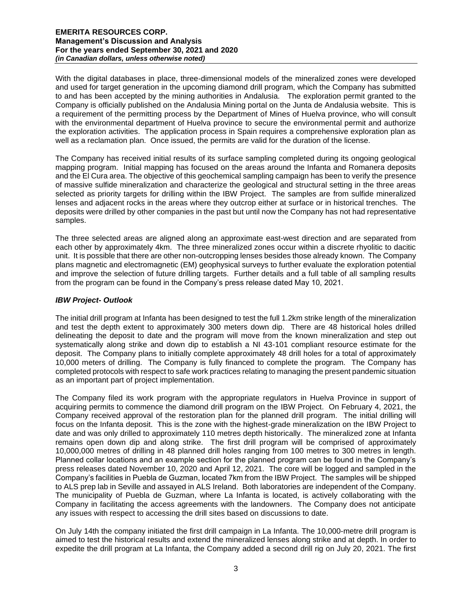With the digital databases in place, three-dimensional models of the mineralized zones were developed and used for target generation in the upcoming diamond drill program, which the Company has submitted to and has been accepted by the mining authorities in Andalusia. The exploration permit granted to the Company is officially published on the Andalusia Mining portal on the Junta de Andalusia website. This is a requirement of the permitting process by the Department of Mines of Huelva province, who will consult with the environmental department of Huelva province to secure the environmental permit and authorize the exploration activities. The application process in Spain requires a comprehensive exploration plan as well as a reclamation plan. Once issued, the permits are valid for the duration of the license.

The Company has received initial results of its surface sampling completed during its ongoing geological mapping program. Initial mapping has focused on the areas around the Infanta and Romanera deposits and the El Cura area. The objective of this geochemical sampling campaign has been to verify the presence of massive sulfide mineralization and characterize the geological and structural setting in the three areas selected as priority targets for drilling within the IBW Project. The samples are from sulfide mineralized lenses and adjacent rocks in the areas where they outcrop either at surface or in historical trenches. The deposits were drilled by other companies in the past but until now the Company has not had representative samples.

The three selected areas are aligned along an approximate east-west direction and are separated from each other by approximately 4km. The three mineralized zones occur within a discrete rhyolitic to dacitic unit. It is possible that there are other non-outcropping lenses besides those already known. The Company plans magnetic and electromagnetic (EM) geophysical surveys to further evaluate the exploration potential and improve the selection of future drilling targets. Further details and a full table of all sampling results from the program can be found in the Company's press release dated May 10, 2021.

### *IBW Project- Outlook*

The initial drill program at Infanta has been designed to test the full 1.2km strike length of the mineralization and test the depth extent to approximately 300 meters down dip. There are 48 historical holes drilled delineating the deposit to date and the program will move from the known mineralization and step out systematically along strike and down dip to establish a NI 43-101 compliant resource estimate for the deposit. The Company plans to initially complete approximately 48 drill holes for a total of approximately 10,000 meters of drilling. The Company is fully financed to complete the program. The Company has completed protocols with respect to safe work practices relating to managing the present pandemic situation as an important part of project implementation.

The Company filed its work program with the appropriate regulators in Huelva Province in support of acquiring permits to commence the diamond drill program on the IBW Project. On February 4, 2021, the Company received approval of the restoration plan for the planned drill program. The initial drilling will focus on the Infanta deposit. This is the zone with the highest-grade mineralization on the IBW Project to date and was only drilled to approximately 110 metres depth historically. The mineralized zone at Infanta remains open down dip and along strike. The first drill program will be comprised of approximately 10,000,000 metres of drilling in 48 planned drill holes ranging from 100 metres to 300 metres in length. Planned collar locations and an example section for the planned program can be found in the Company's press releases dated November 10, 2020 and April 12, 2021. The core will be logged and sampled in the Company's facilities in Puebla de Guzman, located 7km from the IBW Project. The samples will be shipped to ALS prep lab in Seville and assayed in ALS Ireland. Both laboratories are independent of the Company. The municipality of Puebla de Guzman, where La Infanta is located, is actively collaborating with the Company in facilitating the access agreements with the landowners. The Company does not anticipate any issues with respect to accessing the drill sites based on discussions to date.

On July 14th the company initiated the first drill campaign in La Infanta. The 10,000-metre drill program is aimed to test the historical results and extend the mineralized lenses along strike and at depth. In order to expedite the drill program at La Infanta, the Company added a second drill rig on July 20, 2021. The first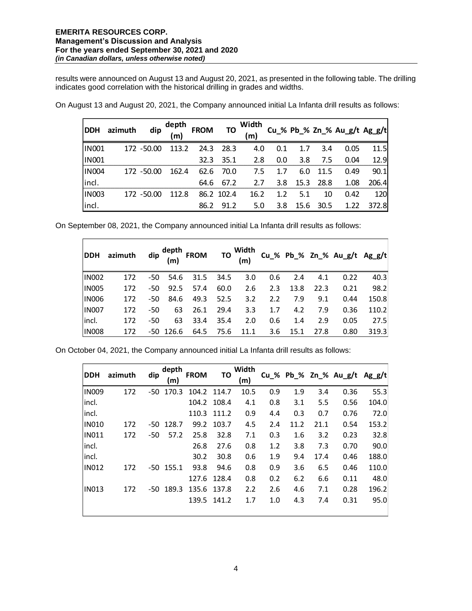$\overline{r}$ 

results were announced on August 13 and August 20, 2021, as presented in the following table. The drilling indicates good correlation with the historical drilling in grades and widths.

| <b>DDH</b>   | azimuth | dip        | depth<br>(m) | <b>FROM</b> | TO         | Width<br>(m) |         |                   |           | Cu_% Pb_% Zn_% Au_g/t Ag_g/t |       |
|--------------|---------|------------|--------------|-------------|------------|--------------|---------|-------------------|-----------|------------------------------|-------|
| <b>IN001</b> |         | 172 -50.00 | 113.2        |             | 24.3 28.3  | 4.0          | 0.1     | 1.7               | 3.4       | 0.05                         | 11.5  |
| <b>IN001</b> |         |            |              |             | 32.3 35.1  | 2.8          | 0.0     | 3.8               | 7.5       | 0.04                         | 12.9  |
| <b>IN004</b> |         | 172 -50.00 | 162.4        |             | 62.6 70.0  |              | 7.5 1.7 |                   | 6.0 11.5  | 0.49                         | 90.1  |
| incl.        |         |            |              | 64.6        | 67.2       |              |         | 2.7 3.8 15.3 28.8 |           | 1.08                         | 206.4 |
| <b>IN003</b> |         | 172 -50.00 | 112.8        |             | 86.2 102.4 | 16.2         | 1.2     | 5.1               | 10        | 0.42                         | 120   |
| incl.        |         |            |              | 86.2        | 91.2       | 5.0          | 3.8     |                   | 15.6 30.5 | 1.22                         | 372.8 |

On August 13 and August 20, 2021, the Company announced initial La Infanta drill results as follows:

On September 08, 2021, the Company announced initial La Infanta drill results as follows:

| <b>DDH</b>   | azimuth | dip <sup>depth</sup><br>(m) |             | FROM TO $\frac{1}{m}$ |      |      |     |      |      | $Cu\_%$ Pb_% Zn_% Au_g/t Ag_g/t |       |
|--------------|---------|-----------------------------|-------------|-----------------------|------|------|-----|------|------|---------------------------------|-------|
| <b>IN002</b> | 172     | -50                         | 54.6        | 31.5                  | 34.5 | 3.0  | 0.6 | 2.4  | 4.1  | 0.22                            | 40.3  |
| <b>IN005</b> | 172     | -50                         | 92.5        | 57.4                  | 60.0 | 2.6  | 2.3 | 13.8 | 22.3 | 0.21                            | 98.2  |
| <b>IN006</b> | 172     | -50                         | 84.6        | 49.3                  | 52.5 | 3.2  | 2.2 | 7.9  | 9.1  | 0.44                            | 150.8 |
| <b>IN007</b> | 172     | -50                         | 63          | 26.1                  | 29.4 | 3.3  | 1.7 | 4.2  | 7.9  | 0.36                            | 110.2 |
| incl.        | 172     | -50                         | 63          | 33.4                  | 35.4 | 2.0  | 0.6 | 1.4  | 2.9  | 0.05                            | 27.5  |
| <b>IN008</b> | 172     |                             | $-50$ 126.6 | 64.5                  | 75.6 | 11.1 | 3.6 | 15.1 | 27.8 | 0.80                            | 319.3 |

On October 04, 2021, the Company announced initial La Infanta drill results as follows:

| <b>DDH</b>   | azimuth | dip | depth<br>(m) | <b>FROM</b> | TO    | Width<br>(m) |     |      |      | Cu % Pb % Zn % Au g/t Ag g/t |       |
|--------------|---------|-----|--------------|-------------|-------|--------------|-----|------|------|------------------------------|-------|
| <b>IN009</b> | 172     | -50 | 170.3        | 104.2       | 114.7 | 10.5         | 0.9 | 1.9  | 3.4  | 0.36                         | 55.3  |
| incl.        |         |     |              | 104.2       | 108.4 | 4.1          | 0.8 | 3.1  | 5.5  | 0.56                         | 104.0 |
| incl.        |         |     |              | 110.3       | 111.2 | 0.9          | 4.4 | 0.3  | 0.7  | 0.76                         | 72.0  |
| <b>IN010</b> | 172     |     | $-50$ 128.7  | 99.2        | 103.7 | 4.5          | 2.4 | 11.2 | 21.1 | 0.54                         | 153.2 |
| <b>IN011</b> | 172     | -50 | 57.2         | 25.8        | 32.8  | 7.1          | 0.3 | 1.6  | 3.2  | 0.23                         | 32.8  |
| incl.        |         |     |              | 26.8        | 27.6  | 0.8          | 1.2 | 3.8  | 7.3  | 0.70                         | 90.0  |
| incl.        |         |     |              | 30.2        | 30.8  | 0.6          | 1.9 | 9.4  | 17.4 | 0.46                         | 188.0 |
| <b>IN012</b> | 172     |     | $-50$ 155.1  | 93.8        | 94.6  | 0.8          | 0.9 | 3.6  | 6.5  | 0.46                         | 110.0 |
|              |         |     |              | 127.6       | 128.4 | 0.8          | 0.2 | 6.2  | 6.6  | 0.11                         | 48.0  |
| <b>IN013</b> | 172     | -50 | 189.3        | 135.6       | 137.8 | 2.2          | 2.6 | 4.6  | 7.1  | 0.28                         | 196.2 |
|              |         |     |              | 139.5       | 141.2 | 1.7          | 1.0 | 4.3  | 7.4  | 0.31                         | 95.0  |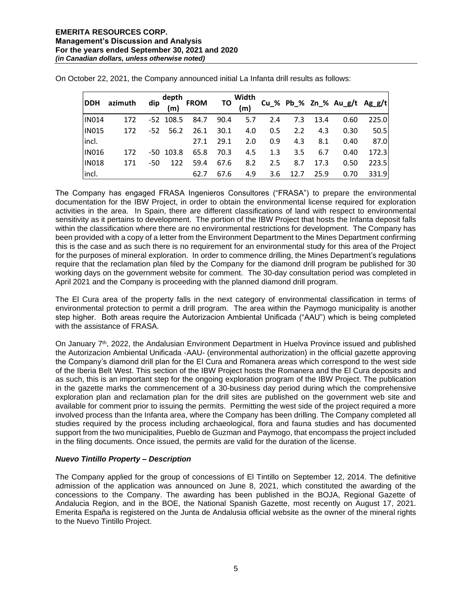| <b>DDH</b>   | azimuth dip $\begin{matrix} \text{depth} \\ \text{(m)} \end{matrix}$ FROM TO $\begin{matrix} \text{Width} \\ \text{(m)} \end{matrix}$ Cu_% Pb_% Zn_% Au_g/t Ag_g/t |     |             |      |      |     |     |               |      |      |       |
|--------------|--------------------------------------------------------------------------------------------------------------------------------------------------------------------|-----|-------------|------|------|-----|-----|---------------|------|------|-------|
| <b>IN014</b> | 172                                                                                                                                                                |     | $-52$ 108.5 | 84.7 | 90.4 | 5.7 | 2.4 | 7.3           | 13.4 | 0.60 | 225.0 |
| <b>IN015</b> | 172                                                                                                                                                                |     | -52 56.2    | 26.1 | 30.1 | 4.0 | 0.5 | $2.2^{\circ}$ | 4.3  | 0.30 | 50.5  |
| incl.        |                                                                                                                                                                    |     |             | 27.1 | 29.1 | 2.0 | 0.9 | 4.3           | 8.1  | 0.40 | 87.0  |
| <b>IN016</b> | 172                                                                                                                                                                |     | $-50$ 103.8 | 65.8 | 70.3 | 4.5 | 1.3 | $3.5^{\circ}$ | 6.7  | 0.40 | 172.3 |
| <b>IN018</b> | 171                                                                                                                                                                | -50 | 122         | 59.4 | 67.6 | 8.2 | 2.5 | 8.7           | 17.3 | 0.50 | 223.5 |
| incl.        |                                                                                                                                                                    |     |             | 62.7 | 67.6 | 4.9 | 3.6 | 12.7          | 25.9 | 0.70 | 331.9 |

On October 22, 2021, the Company announced initial La Infanta drill results as follows:

The Company has engaged FRASA Ingenieros Consultores ("FRASA") to prepare the environmental documentation for the IBW Project, in order to obtain the environmental license required for exploration activities in the area. In Spain, there are different classifications of land with respect to environmental sensitivity as it pertains to development. The portion of the IBW Project that hosts the Infanta deposit falls within the classification where there are no environmental restrictions for development. The Company has been provided with a copy of a letter from the Environment Department to the Mines Department confirming this is the case and as such there is no requirement for an environmental study for this area of the Project for the purposes of mineral exploration. In order to commence drilling, the Mines Department's regulations require that the reclamation plan filed by the Company for the diamond drill program be published for 30 working days on the government website for comment. The 30-day consultation period was completed in April 2021 and the Company is proceeding with the planned diamond drill program.

The El Cura area of the property falls in the next category of environmental classification in terms of environmental protection to permit a drill program. The area within the Paymogo municipality is another step higher. Both areas require the Autorizacion Ambiental Unificada ("AAU") which is being completed with the assistance of FRASA.

On January 7th, 2022, the Andalusian Environment Department in Huelva Province issued and published the Autorizacion Ambiental Unificada -AAU- (environmental authorization) in the official gazette approving the Company's diamond drill plan for the El Cura and Romanera areas which correspond to the west side of the Iberia Belt West. This section of the IBW Project hosts the Romanera and the El Cura deposits and as such, this is an important step for the ongoing exploration program of the IBW Project. The publication in the gazette marks the commencement of a 30-business day period during which the comprehensive exploration plan and reclamation plan for the drill sites are published on the government web site and available for comment prior to issuing the permits. Permitting the west side of the project required a more involved process than the Infanta area, where the Company has been drilling. The Company completed all studies required by the process including archaeological, flora and fauna studies and has documented support from the two municipalities, Pueblo de Guzman and Paymogo, that encompass the project included in the filing documents. Once issued, the permits are valid for the duration of the license.

# *Nuevo Tintillo Property – Description*

The Company applied for the group of concessions of El Tintillo on September 12, 2014. The definitive admission of the application was announced on June 8, 2021, which constituted the awarding of the concessions to the Company. The awarding has been published in the BOJA, Regional Gazette of Andalucia Region, and in the BOE, the National Spanish Gazette, most recently on August 17, 2021. Emerita España is registered on the Junta de Andalusia official website as the owner of the mineral rights to the Nuevo Tintillo Project.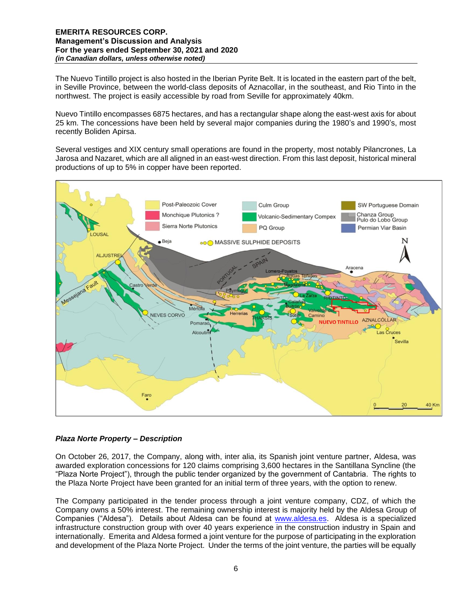The Nuevo Tintillo project is also hosted in the Iberian Pyrite Belt. It is located in the eastern part of the belt, in Seville Province, between the world-class deposits of Aznacollar, in the southeast, and Rio Tinto in the northwest. The project is easily accessible by road from Seville for approximately 40km.

Nuevo Tintillo encompasses 6875 hectares, and has a rectangular shape along the east-west axis for about 25 km. The concessions have been held by several major companies during the 1980's and 1990's, most recently Boliden Apirsa.

Several vestiges and XIX century small operations are found in the property, most notably Pilancrones, La Jarosa and Nazaret, which are all aligned in an east-west direction. From this last deposit, historical mineral productions of up to 5% in copper have been reported.



# *Plaza Norte Property – Description*

On October 26, 2017, the Company, along with, inter alia, its Spanish joint venture partner, Aldesa, was awarded exploration concessions for 120 claims comprising 3,600 hectares in the Santillana Syncline (the "Plaza Norte Project"), through the public tender organized by the government of Cantabria. The rights to the Plaza Norte Project have been granted for an initial term of three years, with the option to renew.

The Company participated in the tender process through a joint venture company, CDZ, of which the Company owns a 50% interest. The remaining ownership interest is majority held by the Aldesa Group of Companies ("Aldesa"). Details about Aldesa can be found at [www.aldesa.es.](http://www.aldesa.es/) Aldesa is a specialized infrastructure construction group with over 40 years experience in the construction industry in Spain and internationally. Emerita and Aldesa formed a joint venture for the purpose of participating in the exploration and development of the Plaza Norte Project. Under the terms of the joint venture, the parties will be equally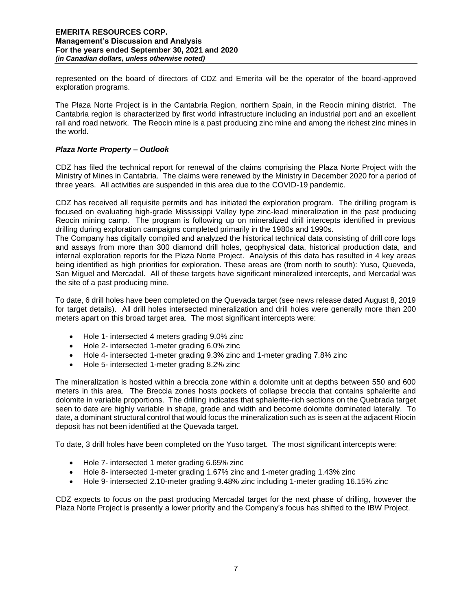represented on the board of directors of CDZ and Emerita will be the operator of the board-approved exploration programs.

The Plaza Norte Project is in the Cantabria Region, northern Spain, in the Reocin mining district. The Cantabria region is characterized by first world infrastructure including an industrial port and an excellent rail and road network. The Reocin mine is a past producing zinc mine and among the richest zinc mines in the world.

## *Plaza Norte Property – Outlook*

CDZ has filed the technical report for renewal of the claims comprising the Plaza Norte Project with the Ministry of Mines in Cantabria. The claims were renewed by the Ministry in December 2020 for a period of three years. All activities are suspended in this area due to the COVID-19 pandemic.

CDZ has received all requisite permits and has initiated the exploration program. The drilling program is focused on evaluating high-grade Mississippi Valley type zinc-lead mineralization in the past producing Reocin mining camp. The program is following up on mineralized drill intercepts identified in previous drilling during exploration campaigns completed primarily in the 1980s and 1990s.

The Company has digitally compiled and analyzed the historical technical data consisting of drill core logs and assays from more than 300 diamond drill holes, geophysical data, historical production data, and internal exploration reports for the Plaza Norte Project. Analysis of this data has resulted in 4 key areas being identified as high priorities for exploration. These areas are (from north to south): Yuso, Queveda, San Miguel and Mercadal. All of these targets have significant mineralized intercepts, and Mercadal was the site of a past producing mine.

To date, 6 drill holes have been completed on the Quevada target (see news release dated August 8, 2019 for target details). All drill holes intersected mineralization and drill holes were generally more than 200 meters apart on this broad target area. The most significant intercepts were:

- Hole 1- intersected 4 meters grading 9.0% zinc
- Hole 2- intersected 1-meter grading 6.0% zinc
- Hole 4- intersected 1-meter grading 9.3% zinc and 1-meter grading 7.8% zinc
- Hole 5- intersected 1-meter grading 8.2% zinc

The mineralization is hosted within a breccia zone within a dolomite unit at depths between 550 and 600 meters in this area. The Breccia zones hosts pockets of collapse breccia that contains sphalerite and dolomite in variable proportions. The drilling indicates that sphalerite-rich sections on the Quebrada target seen to date are highly variable in shape, grade and width and become dolomite dominated laterally. To date, a dominant structural control that would focus the mineralization such as is seen at the adjacent Riocin deposit has not been identified at the Quevada target.

To date, 3 drill holes have been completed on the Yuso target. The most significant intercepts were:

- Hole 7- intersected 1 meter grading 6.65% zinc
- Hole 8- intersected 1-meter grading 1.67% zinc and 1-meter grading 1.43% zinc
- Hole 9- intersected 2.10-meter grading 9.48% zinc including 1-meter grading 16.15% zinc

CDZ expects to focus on the past producing Mercadal target for the next phase of drilling, however the Plaza Norte Project is presently a lower priority and the Company's focus has shifted to the IBW Project.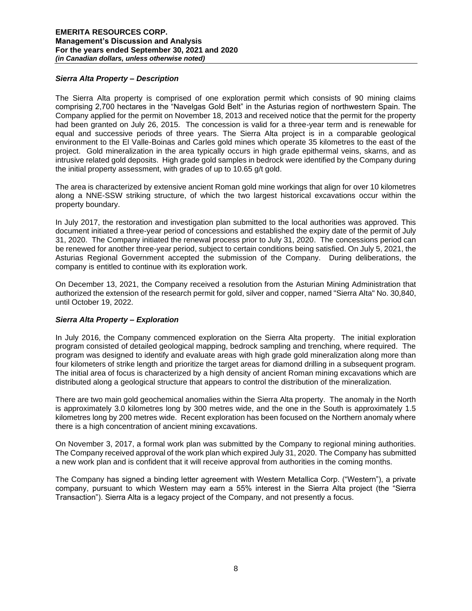## *Sierra Alta Property – Description*

The Sierra Alta property is comprised of one exploration permit which consists of 90 mining claims comprising 2,700 hectares in the "Navelgas Gold Belt" in the Asturias region of northwestern Spain. The Company applied for the permit on November 18, 2013 and received notice that the permit for the property had been granted on July 26, 2015. The concession is valid for a three-year term and is renewable for equal and successive periods of three years. The Sierra Alta project is in a comparable geological environment to the El Valle-Boinas and Carles gold mines which operate 35 kilometres to the east of the project. Gold mineralization in the area typically occurs in high grade epithermal veins, skarns, and as intrusive related gold deposits. High grade gold samples in bedrock were identified by the Company during the initial property assessment, with grades of up to 10.65 g/t gold.

The area is characterized by extensive ancient Roman gold mine workings that align for over 10 kilometres along a NNE-SSW striking structure, of which the two largest historical excavations occur within the property boundary.

In July 2017, the restoration and investigation plan submitted to the local authorities was approved. This document initiated a three-year period of concessions and established the expiry date of the permit of July 31, 2020. The Company initiated the renewal process prior to July 31, 2020. The concessions period can be renewed for another three-year period, subject to certain conditions being satisfied. On July 5, 2021, the Asturias Regional Government accepted the submission of the Company. During deliberations, the company is entitled to continue with its exploration work.

On December 13, 2021, the Company received a resolution from the Asturian Mining Administration that authorized the extension of the research permit for gold, silver and copper, named "Sierra Alta" No. 30,840, until October 19, 2022.

# *Sierra Alta Property – Exploration*

In July 2016, the Company commenced exploration on the Sierra Alta property. The initial exploration program consisted of detailed geological mapping, bedrock sampling and trenching, where required. The program was designed to identify and evaluate areas with high grade gold mineralization along more than four kilometers of strike length and prioritize the target areas for diamond drilling in a subsequent program. The initial area of focus is characterized by a high density of ancient Roman mining excavations which are distributed along a geological structure that appears to control the distribution of the mineralization.

There are two main gold geochemical anomalies within the Sierra Alta property. The anomaly in the North is approximately 3.0 kilometres long by 300 metres wide, and the one in the South is approximately 1.5 kilometres long by 200 metres wide. Recent exploration has been focused on the Northern anomaly where there is a high concentration of ancient mining excavations.

On November 3, 2017, a formal work plan was submitted by the Company to regional mining authorities. The Company received approval of the work plan which expired July 31, 2020. The Company has submitted a new work plan and is confident that it will receive approval from authorities in the coming months.

The Company has signed a binding letter agreement with Western Metallica Corp. ("Western"), a private company, pursuant to which Western may earn a 55% interest in the Sierra Alta project (the "Sierra Transaction"). Sierra Alta is a legacy project of the Company, and not presently a focus.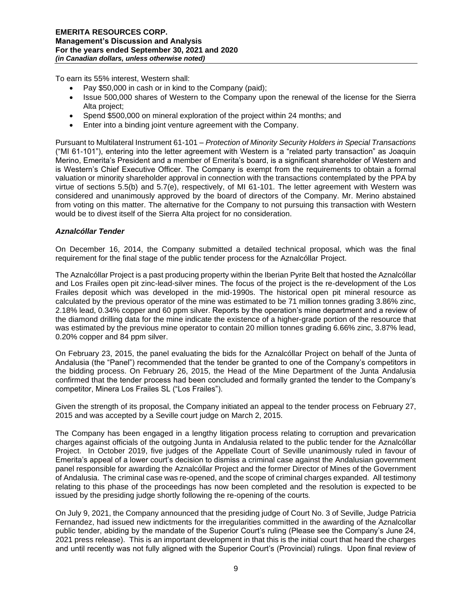To earn its 55% interest, Western shall:

- Pay \$50,000 in cash or in kind to the Company (paid);
- Issue 500,000 shares of Western to the Company upon the renewal of the license for the Sierra Alta project;
- Spend \$500,000 on mineral exploration of the project within 24 months; and
- Enter into a binding joint venture agreement with the Company.

Pursuant to Multilateral Instrument 61-101 – *Protection of Minority Security Holders in Special Transactions*  ("MI 61-101"), entering into the letter agreement with Western is a "related party transaction" as Joaquin Merino, Emerita's President and a member of Emerita's board, is a significant shareholder of Western and is Western's Chief Executive Officer. The Company is exempt from the requirements to obtain a formal valuation or minority shareholder approval in connection with the transactions contemplated by the PPA by virtue of sections 5.5(b) and 5.7(e), respectively, of MI 61-101. The letter agreement with Western was considered and unanimously approved by the board of directors of the Company. Mr. Merino abstained from voting on this matter. The alternative for the Company to not pursuing this transaction with Western would be to divest itself of the Sierra Alta project for no consideration.

### *Aznalcóllar Tender*

On December 16, 2014, the Company submitted a detailed technical proposal, which was the final requirement for the final stage of the public tender process for the Aznalcóllar Project.

The Aznalcóllar Project is a past producing property within the Iberian Pyrite Belt that hosted the Aznalcóllar and Los Frailes open pit zinc-lead-silver mines. The focus of the project is the re-development of the Los Frailes deposit which was developed in the mid-1990s. The historical open pit mineral resource as calculated by the previous operator of the mine was estimated to be 71 million tonnes grading 3.86% zinc, 2.18% lead, 0.34% copper and 60 ppm silver. Reports by the operation's mine department and a review of the diamond drilling data for the mine indicate the existence of a higher-grade portion of the resource that was estimated by the previous mine operator to contain 20 million tonnes grading 6.66% zinc, 3.87% lead, 0.20% copper and 84 ppm silver.

On February 23, 2015, the panel evaluating the bids for the Aznalcóllar Project on behalf of the Junta of Andalusia (the "Panel") recommended that the tender be granted to one of the Company's competitors in the bidding process. On February 26, 2015, the Head of the Mine Department of the Junta Andalusia confirmed that the tender process had been concluded and formally granted the tender to the Company's competitor, Minera Los Frailes SL ("Los Frailes").

Given the strength of its proposal, the Company initiated an appeal to the tender process on February 27, 2015 and was accepted by a Seville court judge on March 2, 2015.

The Company has been engaged in a lengthy litigation process relating to corruption and prevarication charges against officials of the outgoing Junta in Andalusia related to the public tender for the Aznalcóllar Project. In October 2019, five judges of the Appellate Court of Seville unanimously ruled in favour of Emerita's appeal of a lower court's decision to dismiss a criminal case against the Andalusian government panel responsible for awarding the Aznalcóllar Project and the former Director of Mines of the Government of Andalusia. The criminal case was re-opened, and the scope of criminal charges expanded. All testimony relating to this phase of the proceedings has now been completed and the resolution is expected to be issued by the presiding judge shortly following the re-opening of the courts.

On July 9, 2021, the Company announced that the presiding judge of Court No. 3 of Seville, Judge Patricia Fernandez, had issued new indictments for the irregularities committed in the awarding of the Aznalcollar public tender, abiding by the mandate of the Superior Court's ruling (Please see the Company's June 24, 2021 press release). This is an important development in that this is the initial court that heard the charges and until recently was not fully aligned with the Superior Court's (Provincial) rulings. Upon final review of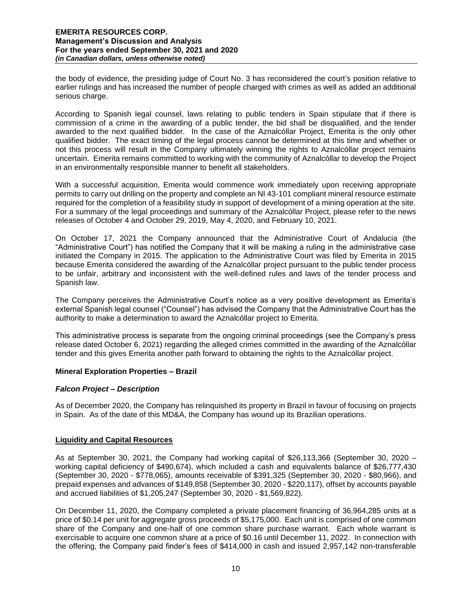the body of evidence, the presiding judge of Court No. 3 has reconsidered the court's position relative to earlier rulings and has increased the number of people charged with crimes as well as added an additional serious charge.

According to Spanish legal counsel, laws relating to public tenders in Spain stipulate that if there is commission of a crime in the awarding of a public tender, the bid shall be disqualified, and the tender awarded to the next qualified bidder. In the case of the Aznalcóllar Project, Emerita is the only other qualified bidder. The exact timing of the legal process cannot be determined at this time and whether or not this process will result in the Company ultimately winning the rights to Aznalcóllar project remains uncertain. Emerita remains committed to working with the community of Aznalcóllar to develop the Project in an environmentally responsible manner to benefit all stakeholders.

With a successful acquisition, Emerita would commence work immediately upon receiving appropriate permits to carry out drilling on the property and complete an NI 43-101 compliant mineral resource estimate required for the completion of a feasibility study in support of development of a mining operation at the site. For a summary of the legal proceedings and summary of the Aznalcóllar Project, please refer to the news releases of October 4 and October 29, 2019, May 4, 2020, and February 10, 2021.

On October 17, 2021 the Company announced that the Administrative Court of Andalucia (the "Administrative Court") has notified the Company that it will be making a ruling in the administrative case initiated the Company in 2015. The application to the Administrative Court was filed by Emerita in 2015 because Emerita considered the awarding of the Aznalcóllar project pursuant to the public tender process to be unfair, arbitrary and inconsistent with the well-defined rules and laws of the tender process and Spanish law.

The Company perceives the Administrative Court's notice as a very positive development as Emerita's external Spanish legal counsel ("Counsel") has advised the Company that the Administrative Court has the authority to make a determination to award the Aznalcóllar project to Emerita.

This administrative process is separate from the ongoing criminal proceedings (see the Company's press release dated October 6, 2021) regarding the alleged crimes committed in the awarding of the Aznalcóllar tender and this gives Emerita another path forward to obtaining the rights to the Aznalcóllar project.

# **Mineral Exploration Properties – Brazil**

### *Falcon Project – Description*

As of December 2020, the Company has relinquished its property in Brazil in favour of focusing on projects in Spain. As of the date of this MD&A, the Company has wound up its Brazilian operations.

### **Liquidity and Capital Resources**

As at September 30, 2021, the Company had working capital of \$26,113,366 (September 30, 2020 – working capital deficiency of \$490,674), which included a cash and equivalents balance of \$26,777,430 (September 30, 2020 - \$778,065), amounts receivable of \$391,325 (September 30, 2020 - \$80,966), and prepaid expenses and advances of \$149,858 (September 30, 2020 - \$220,117), offset by accounts payable and accrued liabilities of \$1,205,247 (September 30, 2020 - \$1,569,822).

On December 11, 2020, the Company completed a private placement financing of 36,964,285 units at a price of \$0.14 per unit for aggregate gross proceeds of \$5,175,000. Each unit is comprised of one common share of the Company and one-half of one common share purchase warrant. Each whole warrant is exercisable to acquire one common share at a price of \$0.16 until December 11, 2022. In connection with the offering, the Company paid finder's fees of \$414,000 in cash and issued 2,957,142 non-transferable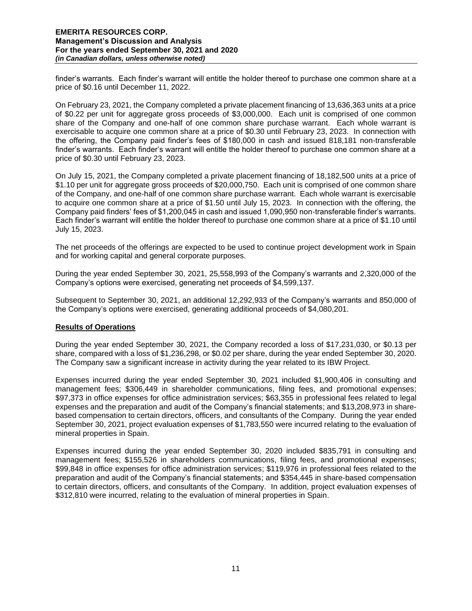finder's warrants. Each finder's warrant will entitle the holder thereof to purchase one common share at a price of \$0.16 until December 11, 2022.

On February 23, 2021, the Company completed a private placement financing of 13,636,363 units at a price of \$0.22 per unit for aggregate gross proceeds of \$3,000,000. Each unit is comprised of one common share of the Company and one-half of one common share purchase warrant. Each whole warrant is exercisable to acquire one common share at a price of \$0.30 until February 23, 2023. In connection with the offering, the Company paid finder's fees of \$180,000 in cash and issued 818,181 non-transferable finder's warrants. Each finder's warrant will entitle the holder thereof to purchase one common share at a price of \$0.30 until February 23, 2023.

On July 15, 2021, the Company completed a private placement financing of 18,182,500 units at a price of \$1.10 per unit for aggregate gross proceeds of \$20,000,750. Each unit is comprised of one common share of the Company, and one-half of one common share purchase warrant. Each whole warrant is exercisable to acquire one common share at a price of \$1.50 until July 15, 2023. In connection with the offering, the Company paid finders' fees of \$1,200,045 in cash and issued 1,090,950 non-transferable finder's warrants. Each finder's warrant will entitle the holder thereof to purchase one common share at a price of \$1.10 until July 15, 2023.

The net proceeds of the offerings are expected to be used to continue project development work in Spain and for working capital and general corporate purposes.

During the year ended September 30, 2021, 25,558,993 of the Company's warrants and 2,320,000 of the Company's options were exercised, generating net proceeds of \$4,599,137.

Subsequent to September 30, 2021, an additional 12,292,933 of the Company's warrants and 850,000 of the Company's options were exercised, generating additional proceeds of \$4,080,201.

### **Results of Operations**

During the year ended September 30, 2021, the Company recorded a loss of \$17,231,030, or \$0.13 per share, compared with a loss of \$1,236,298, or \$0.02 per share, during the year ended September 30, 2020. The Company saw a significant increase in activity during the year related to its IBW Project.

Expenses incurred during the year ended September 30, 2021 included \$1,900,406 in consulting and management fees; \$306,449 in shareholder communications, filing fees, and promotional expenses; \$97,373 in office expenses for office administration services; \$63,355 in professional fees related to legal expenses and the preparation and audit of the Company's financial statements; and \$13,208,973 in sharebased compensation to certain directors, officers, and consultants of the Company. During the year ended September 30, 2021, project evaluation expenses of \$1,783,550 were incurred relating to the evaluation of mineral properties in Spain.

Expenses incurred during the year ended September 30, 2020 included \$835,791 in consulting and management fees; \$155,526 in shareholders communications, filing fees, and promotional expenses; \$99,848 in office expenses for office administration services; \$119,976 in professional fees related to the preparation and audit of the Company's financial statements; and \$354,445 in share-based compensation to certain directors, officers, and consultants of the Company. In addition, project evaluation expenses of \$312,810 were incurred, relating to the evaluation of mineral properties in Spain.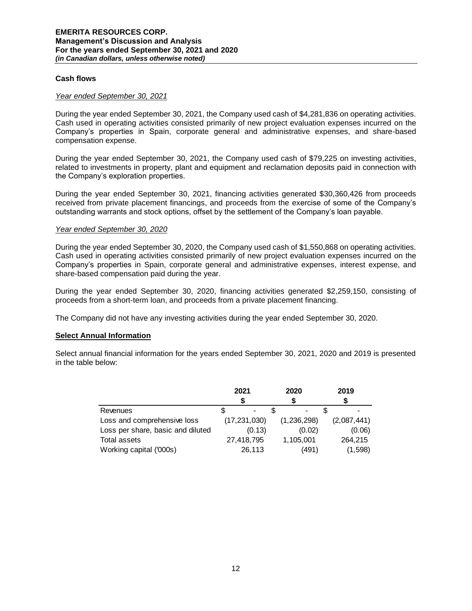#### **Cash flows**

#### *Year ended September 30, 2021*

During the year ended September 30, 2021, the Company used cash of \$4,281,836 on operating activities. Cash used in operating activities consisted primarily of new project evaluation expenses incurred on the Company's properties in Spain, corporate general and administrative expenses, and share-based compensation expense.

During the year ended September 30, 2021, the Company used cash of \$79,225 on investing activities, related to investments in property, plant and equipment and reclamation deposits paid in connection with the Company's exploration properties.

During the year ended September 30, 2021, financing activities generated \$30,360,426 from proceeds received from private placement financings, and proceeds from the exercise of some of the Company's outstanding warrants and stock options, offset by the settlement of the Company's loan payable.

#### *Year ended September 30, 2020*

During the year ended September 30, 2020, the Company used cash of \$1,550,868 on operating activities. Cash used in operating activities consisted primarily of new project evaluation expenses incurred on the Company's properties in Spain, corporate general and administrative expenses, interest expense, and share-based compensation paid during the year.

During the year ended September 30, 2020, financing activities generated \$2,259,150, consisting of proceeds from a short-term loan, and proceeds from a private placement financing.

The Company did not have any investing activities during the year ended September 30, 2020.

### **Select Annual Information**

Select annual financial information for the years ended September 30, 2021, 2020 and 2019 is presented in the table below:

|                                   | 2021           | 2020        | 2019        |
|-----------------------------------|----------------|-------------|-------------|
|                                   |                |             |             |
| Revenues                          |                |             |             |
| Loss and comprehensive loss       | (17, 231, 030) | (1,236,298) | (2,087,441) |
| Loss per share, basic and diluted | (0.13)         | (0.02)      | (0.06)      |
| Total assets                      | 27,418,795     | 1,105,001   | 264,215     |
| Working capital ('000s)           | 26,113         | (491)       | (1, 598)    |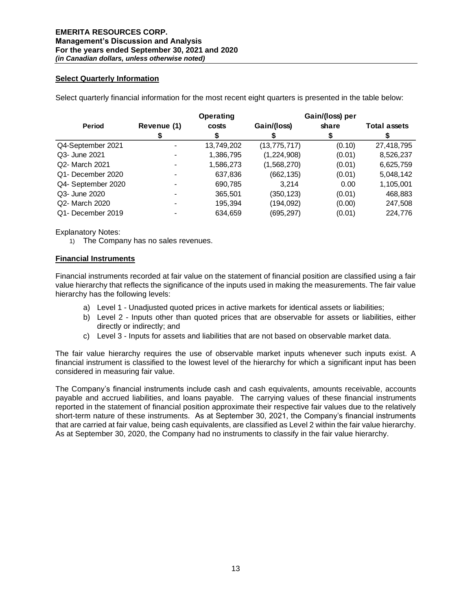## **Select Quarterly Information**

Select quarterly financial information for the most recent eight quarters is presented in the table below:

|                    |             | Operating  |                | Gain/(loss) per |                     |
|--------------------|-------------|------------|----------------|-----------------|---------------------|
| <b>Period</b>      | Revenue (1) | costs      | Gain/(loss)    | share           | <b>Total assets</b> |
|                    |             | S          |                |                 |                     |
| Q4-September 2021  |             | 13,749,202 | (13, 775, 717) | (0.10)          | 27,418,795          |
| Q3- June 2021      |             | 1,386,795  | (1, 224, 908)  | (0.01)          | 8,526,237           |
| Q2- March 2021     | -           | 1,586,273  | (1,568,270)    | (0.01)          | 6,625,759           |
| Q1- December 2020  |             | 637,836    | (662, 135)     | (0.01)          | 5,048,142           |
| Q4- September 2020 |             | 690,785    | 3.214          | 0.00            | 1,105,001           |
| Q3- June 2020      |             | 365,501    | (350, 123)     | (0.01)          | 468,883             |
| Q2- March 2020     |             | 195,394    | (194,092)      | (0.00)          | 247,508             |
| Q1- December 2019  |             | 634.659    | (695, 297)     | (0.01)          | 224,776             |

Explanatory Notes:

1) The Company has no sales revenues.

### **Financial Instruments**

Financial instruments recorded at fair value on the statement of financial position are classified using a fair value hierarchy that reflects the significance of the inputs used in making the measurements. The fair value hierarchy has the following levels:

- a) Level 1 Unadjusted quoted prices in active markets for identical assets or liabilities;
- b) Level 2 Inputs other than quoted prices that are observable for assets or liabilities, either directly or indirectly; and
- c) Level 3 Inputs for assets and liabilities that are not based on observable market data.

The fair value hierarchy requires the use of observable market inputs whenever such inputs exist. A financial instrument is classified to the lowest level of the hierarchy for which a significant input has been considered in measuring fair value.

The Company's financial instruments include cash and cash equivalents, amounts receivable, accounts payable and accrued liabilities, and loans payable. The carrying values of these financial instruments reported in the statement of financial position approximate their respective fair values due to the relatively short-term nature of these instruments. As at September 30, 2021, the Company's financial instruments that are carried at fair value, being cash equivalents, are classified as Level 2 within the fair value hierarchy. As at September 30, 2020, the Company had no instruments to classify in the fair value hierarchy.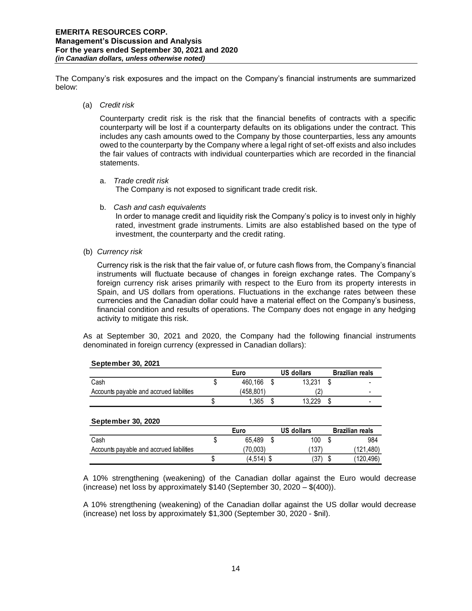The Company's risk exposures and the impact on the Company's financial instruments are summarized below:

(a) *Credit risk* 

Counterparty credit risk is the risk that the financial benefits of contracts with a specific counterparty will be lost if a counterparty defaults on its obligations under the contract. This includes any cash amounts owed to the Company by those counterparties, less any amounts owed to the counterparty by the Company where a legal right of set-off exists and also includes the fair values of contracts with individual counterparties which are recorded in the financial statements.

a. *Trade credit risk*

The Company is not exposed to significant trade credit risk.

b. *Cash and cash equivalents*

In order to manage credit and liquidity risk the Company's policy is to invest only in highly rated, investment grade instruments. Limits are also established based on the type of investment, the counterparty and the credit rating.

(b) *Currency risk* 

Currency risk is the risk that the fair value of, or future cash flows from, the Company's financial instruments will fluctuate because of changes in foreign exchange rates. The Company's foreign currency risk arises primarily with respect to the Euro from its property interests in Spain, and US dollars from operations. Fluctuations in the exchange rates between these currencies and the Canadian dollar could have a material effect on the Company's business, financial condition and results of operations. The Company does not engage in any hedging activity to mitigate this risk.

As at September 30, 2021 and 2020, the Company had the following financial instruments denominated in foreign currency (expressed in Canadian dollars):

|                                          | Euro      | US dollars | <b>Brazilian reals</b> |
|------------------------------------------|-----------|------------|------------------------|
| Cash                                     | 460.166   | 13.231     |                        |
| Accounts payable and accrued liabilities | (458.801) |            |                        |
|                                          | 1.365     | 13.229     |                        |

#### **September 30, 2021**

#### **September 30, 2020**

|                                          | Euro       | US dollars |    | <b>Brazilian reals</b> |
|------------------------------------------|------------|------------|----|------------------------|
| Cash                                     | 65.489     | 100        |    | 984                    |
| Accounts payable and accrued liabilities | 70.003)    | 137        |    | (121.480)              |
|                                          | (4,514) \$ | :37        | ۰D | (120.496)              |

A 10% strengthening (weakening) of the Canadian dollar against the Euro would decrease (increase) net loss by approximately \$140 (September 30, 2020 – \$(400)).

A 10% strengthening (weakening) of the Canadian dollar against the US dollar would decrease (increase) net loss by approximately \$1,300 (September 30, 2020 - \$nil).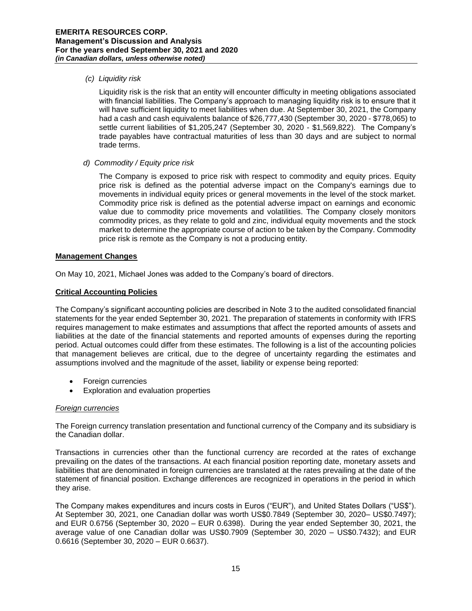## *(c) Liquidity risk*

Liquidity risk is the risk that an entity will encounter difficulty in meeting obligations associated with financial liabilities. The Company's approach to managing liquidity risk is to ensure that it will have sufficient liquidity to meet liabilities when due. At September 30, 2021, the Company had a cash and cash equivalents balance of \$26,777,430 (September 30, 2020 - \$778,065) to settle current liabilities of \$1,205,247 (September 30, 2020 - \$1,569,822). The Company's trade payables have contractual maturities of less than 30 days and are subject to normal trade terms.

*d) Commodity / Equity price risk*

The Company is exposed to price risk with respect to commodity and equity prices. Equity price risk is defined as the potential adverse impact on the Company's earnings due to movements in individual equity prices or general movements in the level of the stock market. Commodity price risk is defined as the potential adverse impact on earnings and economic value due to commodity price movements and volatilities. The Company closely monitors commodity prices, as they relate to gold and zinc, individual equity movements and the stock market to determine the appropriate course of action to be taken by the Company. Commodity price risk is remote as the Company is not a producing entity.

## **Management Changes**

On May 10, 2021, Michael Jones was added to the Company's board of directors.

## **Critical Accounting Policies**

The Company's significant accounting policies are described in Note 3 to the audited consolidated financial statements for the year ended September 30, 2021. The preparation of statements in conformity with IFRS requires management to make estimates and assumptions that affect the reported amounts of assets and liabilities at the date of the financial statements and reported amounts of expenses during the reporting period. Actual outcomes could differ from these estimates. The following is a list of the accounting policies that management believes are critical, due to the degree of uncertainty regarding the estimates and assumptions involved and the magnitude of the asset, liability or expense being reported:

- Foreign currencies
- Exploration and evaluation properties

### *Foreign currencies*

The Foreign currency translation presentation and functional currency of the Company and its subsidiary is the Canadian dollar.

Transactions in currencies other than the functional currency are recorded at the rates of exchange prevailing on the dates of the transactions. At each financial position reporting date, monetary assets and liabilities that are denominated in foreign currencies are translated at the rates prevailing at the date of the statement of financial position. Exchange differences are recognized in operations in the period in which they arise.

The Company makes expenditures and incurs costs in Euros ("EUR"), and United States Dollars ("US\$"). At September 30, 2021, one Canadian dollar was worth US\$0.7849 (September 30, 2020– US\$0.7497); and EUR 0.6756 (September 30, 2020 – EUR 0.6398). During the year ended September 30, 2021, the average value of one Canadian dollar was US\$0.7909 (September 30, 2020 – US\$0.7432); and EUR 0.6616 (September 30, 2020 – EUR 0.6637).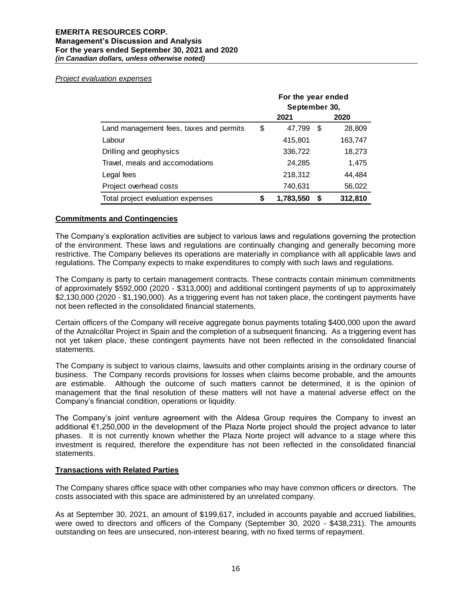#### *Project evaluation expenses*

|                                         | For the year ended<br>September 30, |           |    |         |  |
|-----------------------------------------|-------------------------------------|-----------|----|---------|--|
|                                         |                                     | 2021      |    | 2020    |  |
| Land management fees, taxes and permits | \$                                  | 47,799    | \$ | 28,809  |  |
| Labour                                  |                                     | 415,801   |    | 163,747 |  |
| Drilling and geophysics                 |                                     | 336,722   |    | 18,273  |  |
| Travel, meals and accomodations         |                                     | 24,285    |    | 1,475   |  |
| Legal fees                              |                                     | 218,312   |    | 44,484  |  |
| Project overhead costs                  |                                     | 740,631   |    | 56,022  |  |
| Total project evaluation expenses       | S                                   | 1,783,550 | S  | 312,810 |  |

## **Commitments and Contingencies**

The Company's exploration activities are subject to various laws and regulations governing the protection of the environment. These laws and regulations are continually changing and generally becoming more restrictive. The Company believes its operations are materially in compliance with all applicable laws and regulations. The Company expects to make expenditures to comply with such laws and regulations.

The Company is party to certain management contracts. These contracts contain minimum commitments of approximately \$592,000 (2020 - \$313,000) and additional contingent payments of up to approximately \$2,130,000 (2020 - \$1,190,000). As a triggering event has not taken place, the contingent payments have not been reflected in the consolidated financial statements.

Certain officers of the Company will receive aggregate bonus payments totaling \$400,000 upon the award of the Aznalcóllar Project in Spain and the completion of a subsequent financing. As a triggering event has not yet taken place, these contingent payments have not been reflected in the consolidated financial statements.

The Company is subject to various claims, lawsuits and other complaints arising in the ordinary course of business. The Company records provisions for losses when claims become probable, and the amounts are estimable. Although the outcome of such matters cannot be determined, it is the opinion of management that the final resolution of these matters will not have a material adverse effect on the Company's financial condition, operations or liquidity.

The Company's joint venture agreement with the Aldesa Group requires the Company to invest an additional €1,250,000 in the development of the Plaza Norte project should the project advance to later phases. It is not currently known whether the Plaza Norte project will advance to a stage where this investment is required, therefore the expenditure has not been reflected in the consolidated financial statements.

### **Transactions with Related Parties**

The Company shares office space with other companies who may have common officers or directors. The costs associated with this space are administered by an unrelated company.

As at September 30, 2021, an amount of \$199,617, included in accounts payable and accrued liabilities, were owed to directors and officers of the Company (September 30, 2020 - \$438,231). The amounts outstanding on fees are unsecured, non-interest bearing, with no fixed terms of repayment.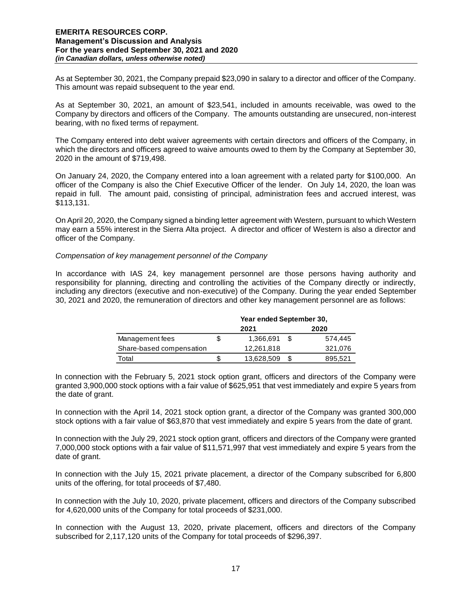As at September 30, 2021, the Company prepaid \$23,090 in salary to a director and officer of the Company. This amount was repaid subsequent to the year end.

As at September 30, 2021, an amount of \$23,541, included in amounts receivable, was owed to the Company by directors and officers of the Company. The amounts outstanding are unsecured, non-interest bearing, with no fixed terms of repayment.

The Company entered into debt waiver agreements with certain directors and officers of the Company, in which the directors and officers agreed to waive amounts owed to them by the Company at September 30, 2020 in the amount of \$719,498.

On January 24, 2020, the Company entered into a loan agreement with a related party for \$100,000. An officer of the Company is also the Chief Executive Officer of the lender. On July 14, 2020, the loan was repaid in full. The amount paid, consisting of principal, administration fees and accrued interest, was \$113,131.

On April 20, 2020, the Company signed a binding letter agreement with Western, pursuant to which Western may earn a 55% interest in the Sierra Alta project. A director and officer of Western is also a director and officer of the Company.

#### *Compensation of key management personnel of the Company*

In accordance with IAS 24, key management personnel are those persons having authority and responsibility for planning, directing and controlling the activities of the Company directly or indirectly, including any directors (executive and non-executive) of the Company. During the year ended September 30, 2021 and 2020, the remuneration of directors and other key management personnel are as follows:

|                          | Year ended September 30, |            |  |         |  |  |  |
|--------------------------|--------------------------|------------|--|---------|--|--|--|
|                          |                          | 2021       |  | 2020    |  |  |  |
| Management fees          | S                        | 1,366,691  |  | 574.445 |  |  |  |
| Share-based compensation |                          | 12.261.818 |  | 321,076 |  |  |  |
| Total                    | S                        | 13,628,509 |  | 895,521 |  |  |  |

In connection with the February 5, 2021 stock option grant, officers and directors of the Company were granted 3,900,000 stock options with a fair value of \$625,951 that vest immediately and expire 5 years from the date of grant.

In connection with the April 14, 2021 stock option grant, a director of the Company was granted 300,000 stock options with a fair value of \$63,870 that vest immediately and expire 5 years from the date of grant.

In connection with the July 29, 2021 stock option grant, officers and directors of the Company were granted 7,000,000 stock options with a fair value of \$11,571,997 that vest immediately and expire 5 years from the date of grant.

In connection with the July 15, 2021 private placement, a director of the Company subscribed for 6,800 units of the offering, for total proceeds of \$7,480.

In connection with the July 10, 2020, private placement, officers and directors of the Company subscribed for 4,620,000 units of the Company for total proceeds of \$231,000.

In connection with the August 13, 2020, private placement, officers and directors of the Company subscribed for 2,117,120 units of the Company for total proceeds of \$296,397.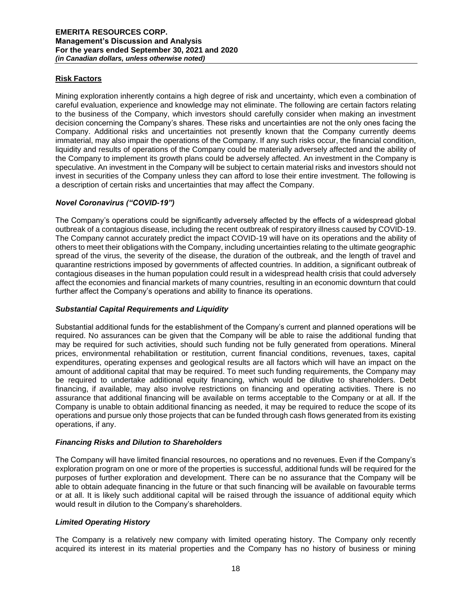# **Risk Factors**

Mining exploration inherently contains a high degree of risk and uncertainty, which even a combination of careful evaluation, experience and knowledge may not eliminate. The following are certain factors relating to the business of the Company, which investors should carefully consider when making an investment decision concerning the Company's shares. These risks and uncertainties are not the only ones facing the Company. Additional risks and uncertainties not presently known that the Company currently deems immaterial, may also impair the operations of the Company. If any such risks occur, the financial condition, liquidity and results of operations of the Company could be materially adversely affected and the ability of the Company to implement its growth plans could be adversely affected. An investment in the Company is speculative. An investment in the Company will be subject to certain material risks and investors should not invest in securities of the Company unless they can afford to lose their entire investment. The following is a description of certain risks and uncertainties that may affect the Company.

# *Novel Coronavirus ("COVID-19")*

The Company's operations could be significantly adversely affected by the effects of a widespread global outbreak of a contagious disease, including the recent outbreak of respiratory illness caused by COVID-19. The Company cannot accurately predict the impact COVID-19 will have on its operations and the ability of others to meet their obligations with the Company, including uncertainties relating to the ultimate geographic spread of the virus, the severity of the disease, the duration of the outbreak, and the length of travel and quarantine restrictions imposed by governments of affected countries. In addition, a significant outbreak of contagious diseases in the human population could result in a widespread health crisis that could adversely affect the economies and financial markets of many countries, resulting in an economic downturn that could further affect the Company's operations and ability to finance its operations.

## *Substantial Capital Requirements and Liquidity*

Substantial additional funds for the establishment of the Company's current and planned operations will be required. No assurances can be given that the Company will be able to raise the additional funding that may be required for such activities, should such funding not be fully generated from operations. Mineral prices, environmental rehabilitation or restitution, current financial conditions, revenues, taxes, capital expenditures, operating expenses and geological results are all factors which will have an impact on the amount of additional capital that may be required. To meet such funding requirements, the Company may be required to undertake additional equity financing, which would be dilutive to shareholders. Debt financing, if available, may also involve restrictions on financing and operating activities. There is no assurance that additional financing will be available on terms acceptable to the Company or at all. If the Company is unable to obtain additional financing as needed, it may be required to reduce the scope of its operations and pursue only those projects that can be funded through cash flows generated from its existing operations, if any.

### *Financing Risks and Dilution to Shareholders*

The Company will have limited financial resources, no operations and no revenues. Even if the Company's exploration program on one or more of the properties is successful, additional funds will be required for the purposes of further exploration and development. There can be no assurance that the Company will be able to obtain adequate financing in the future or that such financing will be available on favourable terms or at all. It is likely such additional capital will be raised through the issuance of additional equity which would result in dilution to the Company's shareholders.

### *Limited Operating History*

The Company is a relatively new company with limited operating history. The Company only recently acquired its interest in its material properties and the Company has no history of business or mining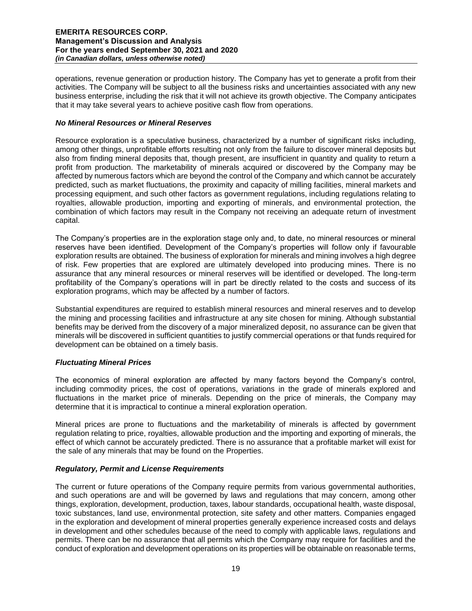operations, revenue generation or production history. The Company has yet to generate a profit from their activities. The Company will be subject to all the business risks and uncertainties associated with any new business enterprise, including the risk that it will not achieve its growth objective. The Company anticipates that it may take several years to achieve positive cash flow from operations.

## *No Mineral Resources or Mineral Reserves*

Resource exploration is a speculative business, characterized by a number of significant risks including, among other things, unprofitable efforts resulting not only from the failure to discover mineral deposits but also from finding mineral deposits that, though present, are insufficient in quantity and quality to return a profit from production. The marketability of minerals acquired or discovered by the Company may be affected by numerous factors which are beyond the control of the Company and which cannot be accurately predicted, such as market fluctuations, the proximity and capacity of milling facilities, mineral markets and processing equipment, and such other factors as government regulations, including regulations relating to royalties, allowable production, importing and exporting of minerals, and environmental protection, the combination of which factors may result in the Company not receiving an adequate return of investment capital.

The Company's properties are in the exploration stage only and, to date, no mineral resources or mineral reserves have been identified. Development of the Company's properties will follow only if favourable exploration results are obtained. The business of exploration for minerals and mining involves a high degree of risk. Few properties that are explored are ultimately developed into producing mines. There is no assurance that any mineral resources or mineral reserves will be identified or developed. The long-term profitability of the Company's operations will in part be directly related to the costs and success of its exploration programs, which may be affected by a number of factors.

Substantial expenditures are required to establish mineral resources and mineral reserves and to develop the mining and processing facilities and infrastructure at any site chosen for mining. Although substantial benefits may be derived from the discovery of a major mineralized deposit, no assurance can be given that minerals will be discovered in sufficient quantities to justify commercial operations or that funds required for development can be obtained on a timely basis.

# *Fluctuating Mineral Prices*

The economics of mineral exploration are affected by many factors beyond the Company's control, including commodity prices, the cost of operations, variations in the grade of minerals explored and fluctuations in the market price of minerals. Depending on the price of minerals, the Company may determine that it is impractical to continue a mineral exploration operation.

Mineral prices are prone to fluctuations and the marketability of minerals is affected by government regulation relating to price, royalties, allowable production and the importing and exporting of minerals, the effect of which cannot be accurately predicted. There is no assurance that a profitable market will exist for the sale of any minerals that may be found on the Properties.

# *Regulatory, Permit and License Requirements*

The current or future operations of the Company require permits from various governmental authorities, and such operations are and will be governed by laws and regulations that may concern, among other things, exploration, development, production, taxes, labour standards, occupational health, waste disposal, toxic substances, land use, environmental protection, site safety and other matters. Companies engaged in the exploration and development of mineral properties generally experience increased costs and delays in development and other schedules because of the need to comply with applicable laws, regulations and permits. There can be no assurance that all permits which the Company may require for facilities and the conduct of exploration and development operations on its properties will be obtainable on reasonable terms,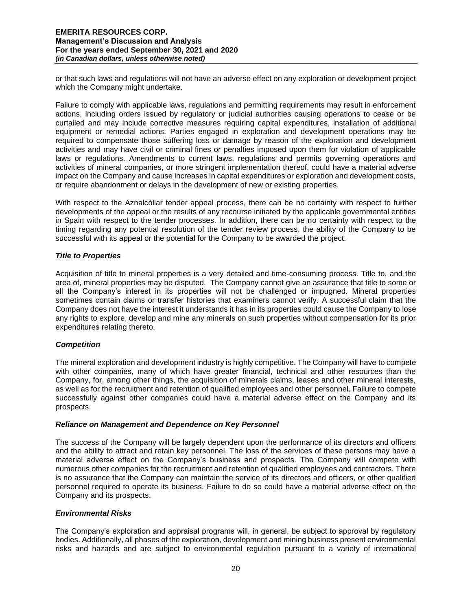or that such laws and regulations will not have an adverse effect on any exploration or development project which the Company might undertake.

Failure to comply with applicable laws, regulations and permitting requirements may result in enforcement actions, including orders issued by regulatory or judicial authorities causing operations to cease or be curtailed and may include corrective measures requiring capital expenditures, installation of additional equipment or remedial actions. Parties engaged in exploration and development operations may be required to compensate those suffering loss or damage by reason of the exploration and development activities and may have civil or criminal fines or penalties imposed upon them for violation of applicable laws or regulations. Amendments to current laws, regulations and permits governing operations and activities of mineral companies, or more stringent implementation thereof, could have a material adverse impact on the Company and cause increases in capital expenditures or exploration and development costs, or require abandonment or delays in the development of new or existing properties.

With respect to the Aznalcóllar tender appeal process, there can be no certainty with respect to further developments of the appeal or the results of any recourse initiated by the applicable governmental entities in Spain with respect to the tender processes. In addition, there can be no certainty with respect to the timing regarding any potential resolution of the tender review process, the ability of the Company to be successful with its appeal or the potential for the Company to be awarded the project.

### *Title to Properties*

Acquisition of title to mineral properties is a very detailed and time-consuming process. Title to, and the area of, mineral properties may be disputed. The Company cannot give an assurance that title to some or all the Company's interest in its properties will not be challenged or impugned. Mineral properties sometimes contain claims or transfer histories that examiners cannot verify. A successful claim that the Company does not have the interest it understands it has in its properties could cause the Company to lose any rights to explore, develop and mine any minerals on such properties without compensation for its prior expenditures relating thereto.

### *Competition*

The mineral exploration and development industry is highly competitive. The Company will have to compete with other companies, many of which have greater financial, technical and other resources than the Company, for, among other things, the acquisition of minerals claims, leases and other mineral interests, as well as for the recruitment and retention of qualified employees and other personnel. Failure to compete successfully against other companies could have a material adverse effect on the Company and its prospects.

## *Reliance on Management and Dependence on Key Personnel*

The success of the Company will be largely dependent upon the performance of its directors and officers and the ability to attract and retain key personnel. The loss of the services of these persons may have a material adverse effect on the Company's business and prospects. The Company will compete with numerous other companies for the recruitment and retention of qualified employees and contractors. There is no assurance that the Company can maintain the service of its directors and officers, or other qualified personnel required to operate its business. Failure to do so could have a material adverse effect on the Company and its prospects.

### *Environmental Risks*

The Company's exploration and appraisal programs will, in general, be subject to approval by regulatory bodies. Additionally, all phases of the exploration, development and mining business present environmental risks and hazards and are subject to environmental regulation pursuant to a variety of international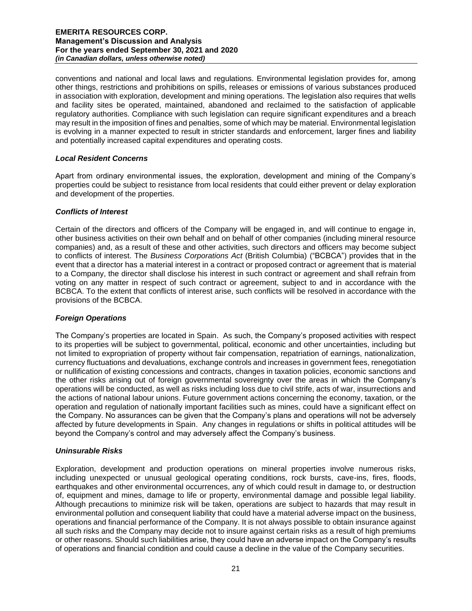conventions and national and local laws and regulations. Environmental legislation provides for, among other things, restrictions and prohibitions on spills, releases or emissions of various substances produced in association with exploration, development and mining operations. The legislation also requires that wells and facility sites be operated, maintained, abandoned and reclaimed to the satisfaction of applicable regulatory authorities. Compliance with such legislation can require significant expenditures and a breach may result in the imposition of fines and penalties, some of which may be material. Environmental legislation is evolving in a manner expected to result in stricter standards and enforcement, larger fines and liability and potentially increased capital expenditures and operating costs.

## *Local Resident Concerns*

Apart from ordinary environmental issues, the exploration, development and mining of the Company's properties could be subject to resistance from local residents that could either prevent or delay exploration and development of the properties.

#### *Conflicts of Interest*

Certain of the directors and officers of the Company will be engaged in, and will continue to engage in, other business activities on their own behalf and on behalf of other companies (including mineral resource companies) and, as a result of these and other activities, such directors and officers may become subject to conflicts of interest. The *Business Corporations Act* (British Columbia) ("BCBCA") provides that in the event that a director has a material interest in a contract or proposed contract or agreement that is material to a Company, the director shall disclose his interest in such contract or agreement and shall refrain from voting on any matter in respect of such contract or agreement, subject to and in accordance with the BCBCA. To the extent that conflicts of interest arise, such conflicts will be resolved in accordance with the provisions of the BCBCA.

### *Foreign Operations*

The Company's properties are located in Spain. As such, the Company's proposed activities with respect to its properties will be subject to governmental, political, economic and other uncertainties, including but not limited to expropriation of property without fair compensation, repatriation of earnings, nationalization, currency fluctuations and devaluations, exchange controls and increases in government fees, renegotiation or nullification of existing concessions and contracts, changes in taxation policies, economic sanctions and the other risks arising out of foreign governmental sovereignty over the areas in which the Company's operations will be conducted, as well as risks including loss due to civil strife, acts of war, insurrections and the actions of national labour unions. Future government actions concerning the economy, taxation, or the operation and regulation of nationally important facilities such as mines, could have a significant effect on the Company. No assurances can be given that the Company's plans and operations will not be adversely affected by future developments in Spain. Any changes in regulations or shifts in political attitudes will be beyond the Company's control and may adversely affect the Company's business.

## *Uninsurable Risks*

Exploration, development and production operations on mineral properties involve numerous risks, including unexpected or unusual geological operating conditions, rock bursts, cave-ins, fires, floods, earthquakes and other environmental occurrences, any of which could result in damage to, or destruction of, equipment and mines, damage to life or property, environmental damage and possible legal liability. Although precautions to minimize risk will be taken, operations are subject to hazards that may result in environmental pollution and consequent liability that could have a material adverse impact on the business, operations and financial performance of the Company. It is not always possible to obtain insurance against all such risks and the Company may decide not to insure against certain risks as a result of high premiums or other reasons. Should such liabilities arise, they could have an adverse impact on the Company's results of operations and financial condition and could cause a decline in the value of the Company securities.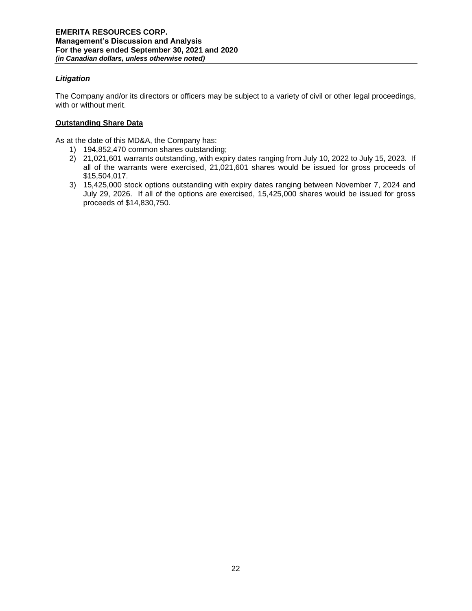# *Litigation*

The Company and/or its directors or officers may be subject to a variety of civil or other legal proceedings, with or without merit.

# **Outstanding Share Data**

As at the date of this MD&A, the Company has:

- 1) 194,852,470 common shares outstanding;
- 2) 21,021,601 warrants outstanding, with expiry dates ranging from July 10, 2022 to July 15, 2023. If all of the warrants were exercised, 21,021,601 shares would be issued for gross proceeds of \$15,504,017.
- 3) 15,425,000 stock options outstanding with expiry dates ranging between November 7, 2024 and July 29, 2026. If all of the options are exercised, 15,425,000 shares would be issued for gross proceeds of \$14,830,750.